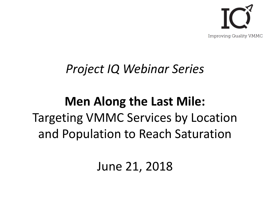

### *Project IQ Webinar Series*

## **Men Along the Last Mile:** Targeting VMMC Services by Location and Population to Reach Saturation

### June 21, 2018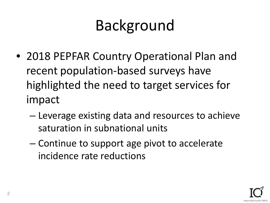# Background

- 2018 PEPFAR Country Operational Plan and recent population-based surveys have highlighted the need to target services for impact
	- Leverage existing data and resources to achieve saturation in subnational units
	- Continue to support age pivot to accelerate incidence rate reductions

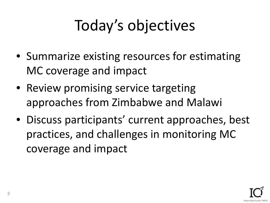# Today's objectives

- Summarize existing resources for estimating MC coverage and impact
- Review promising service targeting approaches from Zimbabwe and Malawi
- Discuss participants' current approaches, best practices, and challenges in monitoring MC coverage and impact

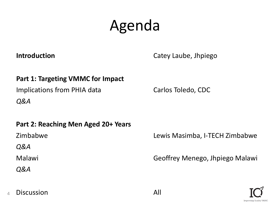# Agenda

**Introduction** Catey Laube, Jhpiego

#### **Part 1: Targeting VMMC for Impact**

Implications from PHIA data

*Q&A*

### **Part 2: Reaching Men Aged 20+ Years**

Zimbabwe

*Q&A*

Malawi

*Q&A*

Carlos Toledo, CDC

Lewis Masimba, I-TECH Zimbabwe

Geoffrey Menego, Jhpiego Malawi



#### 4 Discussion **All**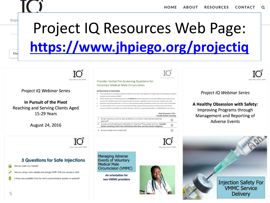

**Delivery** 

Filte

# Project IQ Resources Web Page: **<https://www.jhpiego.org/projectiq>**



5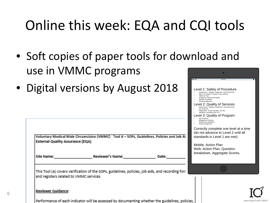## Online this week: EQA and CQI tools

- Soft copies of paper tools for download and use in VMMC programs
- Digital versions by August 2018

| <b>External Quality Assurance (EQA)</b><br>Site Name: | Voluntary Medical Male Circumcision (VMMC) Tool A - SOPs, Guidelines, Policies and Job Ai<br>Reviewer's Name: | Date: | Key Functions<br>Management Systems<br>Monitoring & Evaluation<br>Waste management<br>standards in Level 1 are met)<br>Mobile: Action Plan<br>Web: Action Plan, Question | Correctly complete one level at a time<br>(do not advance to Level 2 until all<br>breakdown, Aggregate Scores, |  |
|-------------------------------------------------------|---------------------------------------------------------------------------------------------------------------|-------|--------------------------------------------------------------------------------------------------------------------------------------------------------------------------|----------------------------------------------------------------------------------------------------------------|--|
| and registers related to VMMC services.               | This Tool (A) covers verification of the SOPs, guidelines, policies, job aids, and recording for              |       |                                                                                                                                                                          |                                                                                                                |  |
| Reviewer Guidance:                                    | Performance of each indicator will be assessed by documenting whether the guidelines, policies,               |       |                                                                                                                                                                          | <b>Improving Quality VMMC</b>                                                                                  |  |

Level 1: Safety of Procedure • Infrastructure, Supplies, Equipment, and Environment • Male Circumcision Procedure (any method) Follow-Up Visit Emergency Equipment/Supp • Infection Prevention • Waste Management

vel 2: Quality of Services • Infrastructure, Supplies, Equipment, and Environment

• Registration, Group Education, and IEC • Individual Counseling and HTS evel 3: Quality of Program

• Key Functions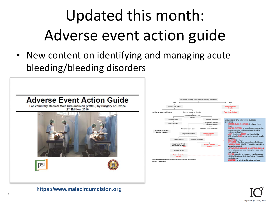# Updated this month: Adverse event action guide

• New content on identifying and managing acute bleeding/bleeding disorders







**https://www.malecircumcision.org**